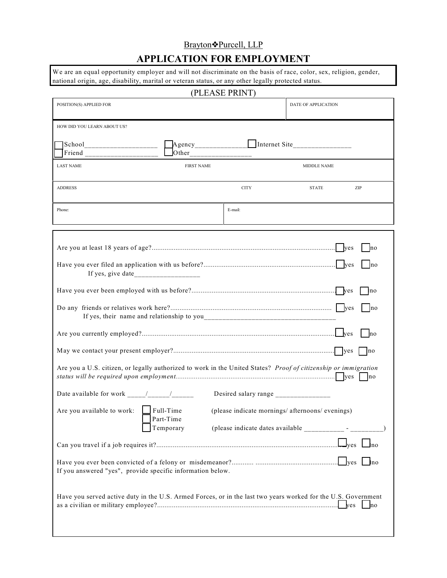## Brayton<sup>•</sup>Purcell, LLP

# **APPLICATION FOR EMPLOYMENT**

We are an equal opportunity employer and will not discriminate on the basis of race, color, sex, religion, gender, national origin, age, disability, marital or veteran status, or any other legally protected status.

| (PLEASE PRINT)                                                                                                                                                                                                                                              |                        |             |                     |                       |
|-------------------------------------------------------------------------------------------------------------------------------------------------------------------------------------------------------------------------------------------------------------|------------------------|-------------|---------------------|-----------------------|
| POSITION(S) APPLIED FOR                                                                                                                                                                                                                                     |                        |             | DATE OF APPLICATION |                       |
| HOW DID YOU LEARN ABOUT US?<br>$\left[\frac{\text{School}}{\text{Friend}}\right]$ = $\left[\frac{\text{Agency}}{\text{Other}}\right]$ = $\left[\frac{\text{Internet Site}}{\text{other}}\right]$ = $\left[\frac{\text{Internet Site}}{\text{other}}\right]$ |                        |             |                     |                       |
| <b>LAST NAME</b>                                                                                                                                                                                                                                            | <b>FIRST NAME</b>      |             | <b>MIDDLE NAME</b>  |                       |
| <b>ADDRESS</b>                                                                                                                                                                                                                                              |                        | <b>CITY</b> | <b>STATE</b>        | ZIP                   |
| Phone:                                                                                                                                                                                                                                                      |                        | E-mail:     |                     |                       |
|                                                                                                                                                                                                                                                             |                        |             |                     | $\overline{p}$<br> no |
|                                                                                                                                                                                                                                                             |                        |             |                     | no<br>$\ln 0$         |
|                                                                                                                                                                                                                                                             |                        |             |                     | $ $ no                |
| Are you a U.S. citizen, or legally authorized to work in the United States? Proof of citizenship or immigration                                                                                                                                             |                        |             |                     | no                    |
| Desired salary range ________________                                                                                                                                                                                                                       |                        |             |                     |                       |
| Are you available to work: $\Box$ Full-Time (please indicate mornings/ afternoons/ evenings)                                                                                                                                                                | Part-Time<br>Temporary |             |                     |                       |
|                                                                                                                                                                                                                                                             |                        |             |                     |                       |
| If you answered "yes", provide specific information below.                                                                                                                                                                                                  |                        |             |                     |                       |
| Have you served active duty in the U.S. Armed Forces, or in the last two years worked for the U.S. Government                                                                                                                                               |                        |             |                     |                       |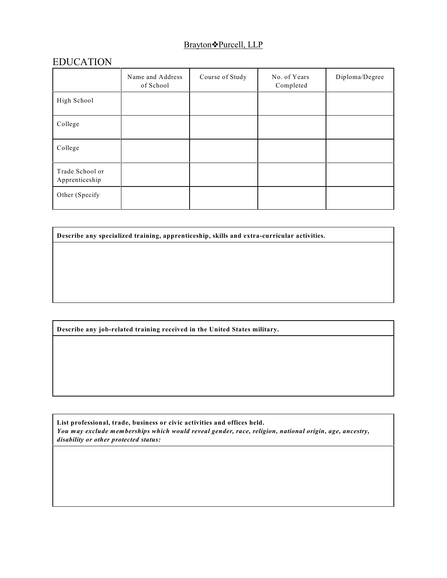### Brayton�Purcell, LLP

## EDUCATION

|                                   | Name and Address<br>of School | Course of Study | No. of Years<br>Completed | Diploma/Degree |
|-----------------------------------|-------------------------------|-----------------|---------------------------|----------------|
| High School                       |                               |                 |                           |                |
| College                           |                               |                 |                           |                |
| College                           |                               |                 |                           |                |
| Trade School or<br>Apprenticeship |                               |                 |                           |                |
| Other (Specify                    |                               |                 |                           |                |

**Describe any specialized training, apprenticeship, skills and extra-curricular activities.**

**Describe any job-related training received in the United States military.**

**List professional, trade, business or civic activities and offices held.** *You may exclude memberships which would reveal gender, race, religion, national origin, age, ancestry, disability or other protected status:*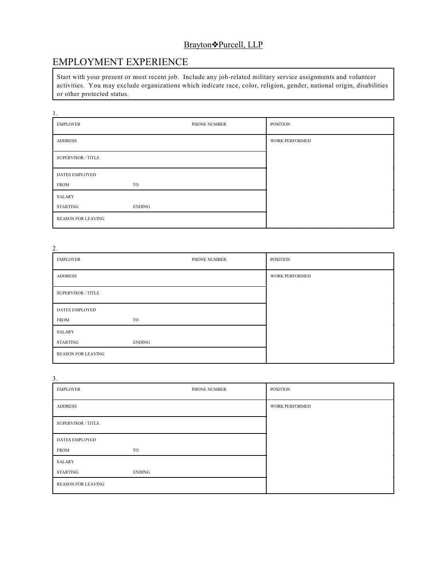### Brayton<sup>•</sup>Purcell, LLP

# EMPLOYMENT EXPERIENCE

Start with your present or most recent job. Include any job-related military service assignments and volunteer activities. You may exclude organizations which indicate race, color, religion, gender, national origin, disabilities or other protected status.

| 1.                        |              |                 |
|---------------------------|--------------|-----------------|
| <b>EMPLOYER</b>           | PHONE NUMBER | <b>POSITION</b> |
| <b>ADDRESS</b>            |              | WORK PERFORMED  |
| <b>SUPERVISOR / TITLE</b> |              |                 |
| <b>DATES EMPLOYED</b>     |              |                 |
| <b>FROM</b>               | TO           |                 |
| <b>SALARY</b>             |              |                 |
| STARTING                  | ENDING       |                 |
| <b>REASON FOR LEAVING</b> |              |                 |

| 2.                        |               |                       |
|---------------------------|---------------|-----------------------|
| <b>EMPLOYER</b>           | PHONE NUMBER  | <b>POSITION</b>       |
| <b>ADDRESS</b>            |               | <b>WORK PERFORMED</b> |
| <b>SUPERVISOR / TITLE</b> |               |                       |
| <b>DATES EMPLOYED</b>     |               |                       |
| <b>FROM</b>               | TO            |                       |
| <b>SALARY</b>             |               |                       |
| STARTING                  | <b>ENDING</b> |                       |
| <b>REASON FOR LEAVING</b> |               |                       |

| 3.                        |               |                 |
|---------------------------|---------------|-----------------|
| EMPLOYER                  | PHONE NUMBER  | <b>POSITION</b> |
| <b>ADDRESS</b>            |               | WORK PERFORMED  |
| <b>SUPERVISOR / TITLE</b> |               |                 |
| <b>DATES EMPLOYED</b>     |               |                 |
| <b>FROM</b>               | TO            |                 |
| SALARY                    |               |                 |
| STARTING                  | <b>ENDING</b> |                 |
| <b>REASON FOR LEAVING</b> |               |                 |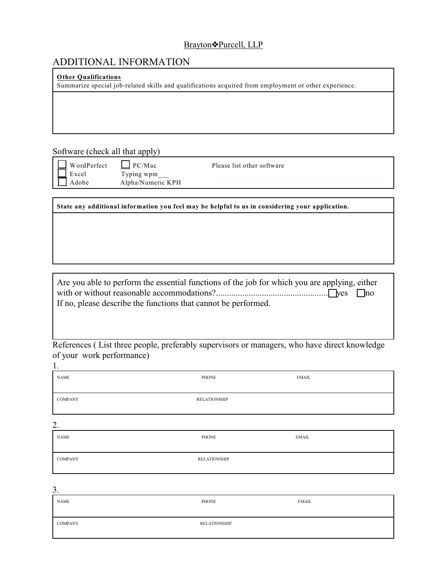#### Brayton�Purcell, LLP

## ADDITIONAL INFORMATION

#### **Other Qualifications**

Summarize special job-related skills and qualifications acquired from employment or other experience.

Software (check all that apply)

Excel Typing wpm Adobe Alpha/Numeric KPH

WordPerfect  $\Box$  PC/Mac Please list other software

**State any additional information you feel may be helpful to us in considering your application.**

Are you able to perform the essential functions of the job for which you are applying, either with or without reasonable accommodations?....................................................yes no If no, please describe the functions that cannot be performed.

References ( List three people, preferably supervisors or managers, who have direct knowledge of your work performance)

| <b>NAME</b>    | PHONE               | EMAIL        |
|----------------|---------------------|--------------|
| <b>COMPANY</b> | <b>RELATIONSHIP</b> |              |
| 2.             |                     |              |
| <b>NAME</b>    | PHONE               | <b>EMAIL</b> |
| <b>COMPANY</b> | <b>RELATIONSHIP</b> |              |

3.

1.

| NAME    | PHONE        | EMAIL |
|---------|--------------|-------|
| COMPANY | RELATIONSHIP |       |